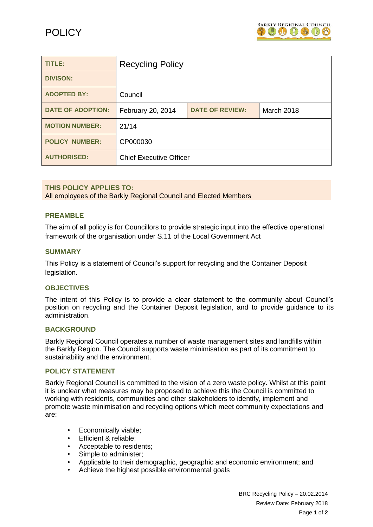

| TITLE:                   | <b>Recycling Policy</b>        |                        |                   |
|--------------------------|--------------------------------|------------------------|-------------------|
| <b>DIVISON:</b>          |                                |                        |                   |
| <b>ADOPTED BY:</b>       | Council                        |                        |                   |
| <b>DATE OF ADOPTION:</b> | February 20, 2014              | <b>DATE OF REVIEW:</b> | <b>March 2018</b> |
| <b>MOTION NUMBER:</b>    | 21/14                          |                        |                   |
| <b>POLICY NUMBER:</b>    | CP000030                       |                        |                   |
| <b>AUTHORISED:</b>       | <b>Chief Executive Officer</b> |                        |                   |

# **THIS POLICY APPLIES TO:**

All employees of the Barkly Regional Council and Elected Members

### **PREAMBLE**

The aim of all policy is for Councillors to provide strategic input into the effective operational framework of the organisation under S.11 of the Local Government Act

#### **SUMMARY**

This Policy is a statement of Council's support for recycling and the Container Deposit legislation.

#### **OBJECTIVES**

The intent of this Policy is to provide a clear statement to the community about Council's position on recycling and the Container Deposit legislation, and to provide guidance to its administration.

#### **BACKGROUND**

Barkly Regional Council operates a number of waste management sites and landfills within the Barkly Region. The Council supports waste minimisation as part of its commitment to sustainability and the environment.

### **POLICY STATEMENT**

Barkly Regional Council is committed to the vision of a zero waste policy. Whilst at this point it is unclear what measures may be proposed to achieve this the Council is committed to working with residents, communities and other stakeholders to identify, implement and promote waste minimisation and recycling options which meet community expectations and are:

- Economically viable;
- Efficient & reliable;
- Acceptable to residents;
- Simple to administer;
- Applicable to their demographic, geographic and economic environment; and
- Achieve the highest possible environmental goals